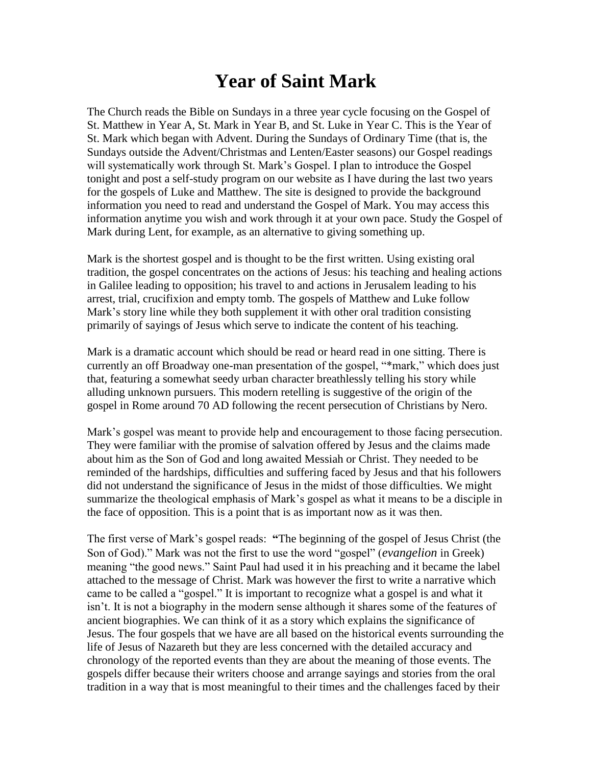## **Year of Saint Mark**

The Church reads the Bible on Sundays in a three year cycle focusing on the Gospel of St. Matthew in Year A, St. Mark in Year B, and St. Luke in Year C. This is the Year of St. Mark which began with Advent. During the Sundays of Ordinary Time (that is, the Sundays outside the Advent/Christmas and Lenten/Easter seasons) our Gospel readings will systematically work through St. Mark's Gospel. I plan to introduce the Gospel tonight and post a self-study program on our website as I have during the last two years for the gospels of Luke and Matthew. The site is designed to provide the background information you need to read and understand the Gospel of Mark. You may access this information anytime you wish and work through it at your own pace. Study the Gospel of Mark during Lent, for example, as an alternative to giving something up.

Mark is the shortest gospel and is thought to be the first written. Using existing oral tradition, the gospel concentrates on the actions of Jesus: his teaching and healing actions in Galilee leading to opposition; his travel to and actions in Jerusalem leading to his arrest, trial, crucifixion and empty tomb. The gospels of Matthew and Luke follow Mark's story line while they both supplement it with other oral tradition consisting primarily of sayings of Jesus which serve to indicate the content of his teaching.

Mark is a dramatic account which should be read or heard read in one sitting. There is currently an off Broadway one-man presentation of the gospel, "\*mark," which does just that, featuring a somewhat seedy urban character breathlessly telling his story while alluding unknown pursuers. This modern retelling is suggestive of the origin of the gospel in Rome around 70 AD following the recent persecution of Christians by Nero.

Mark's gospel was meant to provide help and encouragement to those facing persecution. They were familiar with the promise of salvation offered by Jesus and the claims made about him as the Son of God and long awaited Messiah or Christ. They needed to be reminded of the hardships, difficulties and suffering faced by Jesus and that his followers did not understand the significance of Jesus in the midst of those difficulties. We might summarize the theological emphasis of Mark's gospel as what it means to be a disciple in the face of opposition. This is a point that is as important now as it was then.

The first verse of Mark's gospel reads: **"**The beginning of the gospel of Jesus Christ (the Son of God)." Mark was not the first to use the word "gospel" (*evangelion* in Greek) meaning "the good news." Saint Paul had used it in his preaching and it became the label attached to the message of Christ. Mark was however the first to write a narrative which came to be called a "gospel." It is important to recognize what a gospel is and what it isn't. It is not a biography in the modern sense although it shares some of the features of ancient biographies. We can think of it as a story which explains the significance of Jesus. The four gospels that we have are all based on the historical events surrounding the life of Jesus of Nazareth but they are less concerned with the detailed accuracy and chronology of the reported events than they are about the meaning of those events. The gospels differ because their writers choose and arrange sayings and stories from the oral tradition in a way that is most meaningful to their times and the challenges faced by their